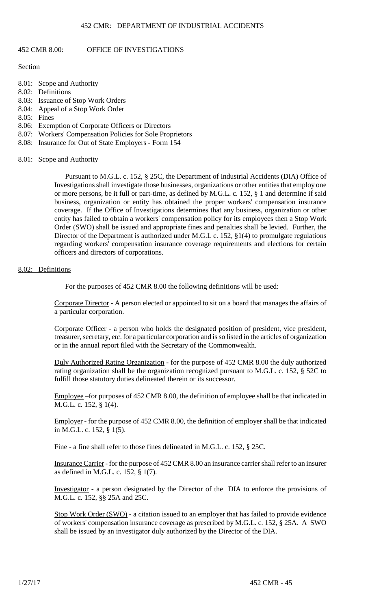# 452 CMR 8.00: OFFICE OF INVESTIGATIONS

## **SECTION**

- 8.01: Scope and Authority
- 8.02: Definitions
- 8.03: Issuance of Stop Work Orders
- 8.04: APPEAL OF A STOP WORKORDER
- 8.05: Fines
- 8.06: Exemption of Corporate Officers or Directors
- 8.07: Workers' Compensation Policies for Sole Proprietors
- 8.08: Insurance for Out of State Employers Form 154

#### 8.01: Scope and Authority

PURSUANT TO M.G.L. C. 152, § 25C. THE DEPARTMENT OF INDUSTRIAL ACCIDENTS (DIA) O INVESTIGATIONS SHALL INVESTIGATE THOSE BUSINESSES, ORGANIZATIONS OR OTHER ENTI OR MORE PERSONS, BE IT FULL OR PART-TIME, AS DEFINED BY M.G.L. C. 152, § 1 AND DETER business, organization or entity has obtained the proper workers' compens. COVERAGE. IF THE OFFICE OF INVESTIGATIONS DETERMINES THAT ANY BUSINESS, ORGA entity has failed to obtain a workers' compensation policy for its employees the  $S$ ORDER (SWO) SHALL BE ISSUED AND APPROPRIATE FINES AND PENALTIES SHALL BE LEVIE DIRECTOR OF THE DEPARTMENT IS AUTHORIZED UNDER M.G.L C. 152, §1(4) TO PROMULGAT REGARDING WORKERS' COMPENSATION INSURANCE COVERAGE REQUIREMENTS AND ELE officers and directors of corporations.

# 8.02: Definitions

FOR THE PURPOSES OF 452 CMR 8.00 THE FOLLOWING DEFINITIONS WILL BE USED:

CORPORATE DIRECTOR - A PERSON ELECTED OR APPOINTED TO SIT ON A BOARD THAT MAN a particular corporation.

CORPORATE OFFICER - A PERSON WHO HOLDS THE DESIGNATED POSITION OF PRESIDENT TREASURER, SECRETORY, PARTICULAR CORPORATION AND IS SO LISTED IN THE ARTICLES O or in the annual report filed with the Secretary of the Commonwealth.

DULY AUTHORIZED RATING ORGANIZATION - FOR THE PURPOSE OF 452 CMR 8.00 THE DULY RATING ORGANIZATION SHALL BE THE ORGANIZATION RECOGNIZED PURSUANT TO M.G.L. fulfill those statutory duties delineated therein or its successor.

EMPLOYEEOR PURPOSES OF 452 CMR 8.00, THE DEFINITION OF EMPLOYEE SHALL BE THAT IN M.G.L. c. 152, § 1(4).

EMPLOYEROR THE PURPOSE OF 452 CMR 8.00, THE DEFINITION OF EMPLOYER SHALL BE THAT in M.G.L. c. 152, § 1(5).

FINE A FINE SHALL REFER TO THOSE FINES DELINEATED IN M.G.L. C. 152, § 25C.

INSURANCE CARRIER - FOR THE PURPOSE OF 452 CMR 8.00 AN INSURANCE CARRIER SHALL RI as defined in M.G.L. c. 152, § 1(7).

INVESTIGATOR - A PERSON DESIGNATED BY THE DIRECTOR OF THE DIA TO ENFORCE THE M.G.L. c. 152, §§ 25A and 25C.

OF WORKERS' COMPENSATION INSURANCE COVERAGE AS PRESCRIBED BY M.G.L. C. 152, § 25A. STOP WORKORDER (SWO) - A CITATION ISSUED TO AN EMPLOYER THAT HAS FAILED TO PR shall be issued by an investigator duly authorized by the Director of the DIA.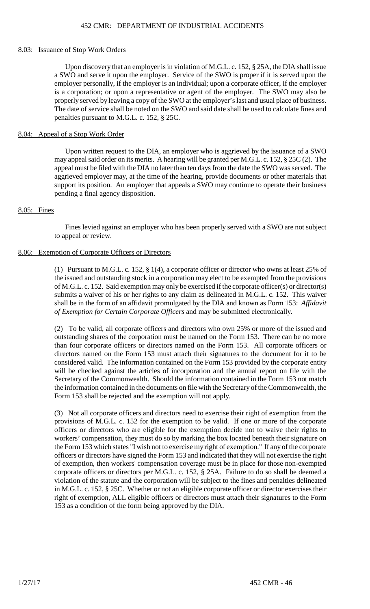## 8.03: ISSUANCE OF STOP WORK ORDERS

UPON DISCOVERY THAT AN EMPLOYER IS IN VIOLATION OF M.G.L. C. 152, § 25A, THE DIA SHALL ISSUE IS UPON  $\overline{S}$ A SWO AND SERVE IT UPON THE EMPLOYER. SERVICE OF THE SWO IS PROPER IF IT IS SERV EMPLOYER PERSONALLY, IF THE EMPLOYER IS AN INDIVIDUAL; UPON A CORPORATE OFFIC IS A CORPORATION: OR UPON A REPRESENTATIVE OR AGENT OF THE EMPLOYER. THE SW PROPERLY SERVED BY LEAVING A COPY OF THE SWO AT THE EMPLOYER'S LAST AND USUAL THE DATE OF SERVICE SHALL BE NOTED ON THE SWO AND SAID DATE SHALL BE USED TO CA penalties pursuant to M.G.L. c. 152, § 25C.

# 8.04: Appeal of a Stop Work Order

may appeal said order on its merits. A HEARING WILL BE GRANTED PER M.G.L. C. 152, § 25 APPEAL MUST BE FILED WITH THE DIA NO LATER THAN TEN DAYS FROM THE DATE THE SWO SUPPORT ITS POSITION. AN EMPLOYER THAT APPEALS A SWO MAY CONTINUE TO OPERAT UPON WRITTEN REQUEST TO THE DIA, AN EMPLOYER WHO IS AGGRIEVED BY THE ISSUA AGGRIEVED EMPLOYER MAY, AT THE TIME OF THE HEARING, PROVIDE DOCUMENTS OR OT pending a final agency disposition.

## 8.05: Fines

FINES LEVIED AGAINST AN EMPLOYER WHO HAS BEEN PROPERLY SERVED WITH A SWO  $R$ to appeal or review.

## 8.06: Exemption of Corporate Officers or Directors

(1) PURSUANT TO M.G.L. C. 152, § 1(4), A CORPORATE OFFICER OR DIRECTOR WHO OWNS AT THE ISSUED AND OUTSTANDING STOCKIN A CORPORATION MAY ELECT TO BE EXEMPTED FR OF M.G.L. C. 152. SAID EXEMPTION MAY ONLY BE EXERCISED IF THE CORPORATE OFFICER(S) C SUBMITS A WAIVER OF HIS OR HER RIGHTS TO ANY CLAIM AS DELINEATED IN M.G.L. C. 152 SHALL BE IN THE FORM OF AN AFFIDAVIT PROMULGATED BY THE DIA AA*NFIAKNIO*WN AS FORN of Exemption for Certain Corporate Officers AND MAY BE SUBMITTED ELECTRONICALLY.

(2) TO BE VALID, ALL CORPORATE OFFICERS AND DIRECTORS WHO OWN 25% OR MORE OF OUTSTANDING SHARES OF THE CORPORATION MUST BE NAMED ON THE FORM 153. THERE THAN FOUR CORPORATE OFFICERS OR DIRECTORS NAMED ON THE FORM 153. ALL CORP DIRECTORS NAMED ON THE FORM 153 MUST ATTACH THEIR SIGNATURES TO THE DOCU CONSIDERED VALID. THE INFORMATION CONTAINED ON THE FORM 153 PROVIDED BY THE O WILL BE CHECKED AGAINST THE ARTICLES OF INCORPORATION AND THE ANNUAL REPO SECRETARY OF THE COMMONWEALTH. SHOULD THE INFORMATION CONTAINED IN THE FO THE INFORMATION CONTAINED IN THE DOCUMENTS ON FILE WITH THE SECRETARY OF THE C FORM 153 SHALL BE REJECTED AND THE EXEMPTION WILL NOT APPLY.

PROVISIONS OF M.G.L. C. 152 FOR THE EXEMPTION TO BE VALID. IF ONE OR MORE OF THE OFFICERS OR DIRECTORS WHO ARE ELIGIBLE FOR THE EXEMPTION DECIDE NOT TO WAIT WORKERS' COMPENSATION, THEY MUST DO SO BY MARKING THE BOXLOCATED BENEATH TH THE FORM 153 WHICH STATES "I WISH NOT TO EXERCISE MY RIGHT OF EXEMPTION." IF ANY OF OFFICERS OR DIRECTORS HAVE SIGNED THE FORM 153 AND INDICATED THAT THEY WILL NO OF EXEMPTION, THEN WORKERS' COMPENSATION COVERAGE MUST BE IN PLACE FOR THOS corporate officers or directors per M.G.L. c. 152, § 25A. Failure to do so shall be deemed a VIOLATION OF THE STATUTE AND THE CORPORATION WILL BE SUBJECT TO THE FINES AND IN M.G.L. C. 152, § 25C. WHETHER OR NOT AN ELIGIBLE CORPORATE OFFICER OR DIRECTOR E RIGHT OF EXEMPTION, ALL ELIGIBLE OFFICERS OR DIRECTORS MUST ATTACH THEIR SIGNA (3) NOT ALL CORPORATE OFFICERS AND DIRECTORS NEED TO EXERCISE THEIR RIGHT OF E 153 as a condition of the form being approved by the DIA.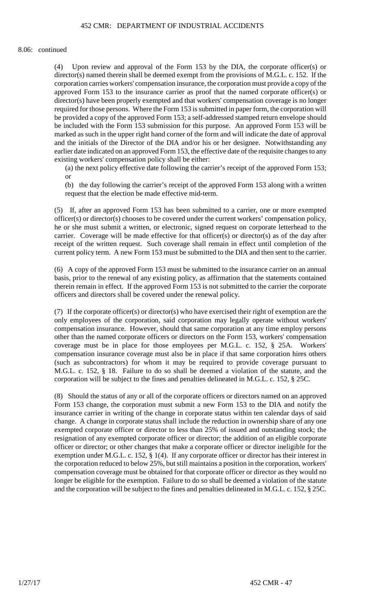#### 8.06: CONTINUED

(4) UPON REVIEW AND APPROVAL OF THE FORM 153 BY THE DIA, THE CORPORATE OF DIRECTOR(S) NAMED THEREIN SHALL BE DEEMED EXEMPT FROM THE PROVISIONS OF M.G.L. CORPORATION CARRIES WORKERS' COMPENSATION INSURANCE, THE CORPORATION MUST P APPROVED FORM 153 TO THE INSURANCE CARRIER AS PROOF THAT THE NAMED CORPOI DIRECTOR(S) HAVE BEEN PROPERLY EXEMPTED AND THAT WORKERS' COMPENSATION COVI REQUIRED FOR THOSE PERSONS. WHERE THE FORM 153 IS SUBMITTED IN PAPER FORM, THE C BE PROVIDED A COPY OF THE APPROVED FORM 153: A SELF-ADDRESSED STAMPED RETURN E BE INCLUDED WITH THE FORM 153 SUBMISSION FOR THIS PURPOSE. AN APPROVED FORM MARKED AS SUCH IN THE UPPER RIGHT HAND CORNER OF THE FORM AND WILL INDICATE TI and the initials of the DIRECTOR OF THE DIA AND/OR HIS OR HER DESIGNEE. NOTWITHSTANDING AND ANY ANY ANY ANY ANY EARLIER DATE INDICATED ON AN APPROVED FORM 153, THE EFFECTIVE DATE OF THE REQUIS existing workers' compensation policy shall be either:

(A) THE NEXT POLICY EFFECTIVE DATE FOLLOWING THE CARRIER'S RECEIPT OF THE APP **OR** 

(B) THE DAY FOLLOWING THE CARRIER'S RECEIPT OF THE APPROVED FORM 153 ALONG request that the election be made effective mid-term.

(5) IF, AFTER AN APPROVED FORM 153 HAS BEEN SUBMITTED TO A CARRIER, ONE OR MC  $\overline{\text{OFFICER(S)}}$  OR DIRECTOR(S) CHOOSES TO BE COVERED UNDER THE CURRENT WORKERS' CO HE OR SHE MUST SUBMIT A WRITTEN, OR ELECTRONIC, SIGNED REQUEST ON CORPORATE CARRIER. COVERAGE WILL BE MADE EFFECTIVE FOR THAT OFFICER(S) OR DIRECTOR(S)  $\lambda$ RECEIPT OF THE WRITTEN REQUEST. SUCH COVERAGE SHALL REMAIN IN EFFECT UNTIL CURRENT POLICY TERM. A NEW FORM 153 MUST BE SUBMITTED TO THE DIA AND THEN SENT

(6) A COPY OF THE APPROVED FORM 153 MUST BE SUBMITTED TO THE INSURANCE CARRIER  $\overline{\text{BASIS}}$ , prior to the renewal of any existing policy, as affirmation that the STA THEREIN REMAIN IN EFFECT. IF THE APPROVED FORM 153 IS NOT SUBMITTED TO THE CARR officers and directors shall be covered under the renewal policy.

(7) IF THE CORPORATE OFFICER(S) OR DIRECTOR(S) WHO HAVE EXERCISED THEIR RIGHT OF ONLY EMPLOYEES OF THE CORPORATION, SAID CORPORATION MAY LEGALLY OPERATE COMPENSATION INSURANCE. HOWEVER, SHOULD THAT SAME CORPORATION AT ANY TIM OTHER THAN THE NAMED CORPORATE OFFICERS OR DIRECTORS ON THE FORM 153, WORK COVERAGE MUST BE IN PLACE FOR THOSE EMPLOYEES PER M.G.L. C. 152, § 25A. WORKERST COMPENSATION INSURANCE COVERAGE MUST ALSO BE IN PLACE IF THAT SAME CORPOR (SUCH AS SUBCONTRACTORS) FOR WHOM IT MAY BE REQUIRED TO PROVIDE COVERA M.G.L. C. 152,  $\S$  18. FAILURE TO DO SO SHALL BE DEEMED A VIOLATION OF THE STATUT CORPORATION WILL BE SUBJECT TO THE FINES AND PENALTIES DELINEATED IN M.G.L. C. 15

(8) SHOULD THE STATUS OF ANY OR ALL OF THE CORPORATE OFFICERS OR DIRECTORS NA FORM 153 CHANGE, THE CORPORATION MUST SUBMIT A NEW FORM 153 TO THE DIA AND INSURANCE CARRIER IN WRITING OF THE CHANGE IN CORPORATE STATUS WITHIN TEN  $C_\ell$ CHANGE. A CHANGE IN CORPORATE STATUS SHALL INCLUDE THE REDUCTION IN OWNERSI EXEMPTED CORPORATE OFFICER OR DIRECTOR TO LESS THAN 25% OF ISSUED AND OUTST RESIGNATION OF ANY EXEMPTED CORPORATE OFFICER OR DIRECTOR: THE ADDITION OF A OFFICER OR DIRECTOR; OR OTHER CHANGES THAT MAKE A CORPORATE OFFICER OR DIRECTOR IN EXEMPTION UNDER M.G.L. C. 152, § 1(4). IF ANY CORPORATE OFFICER OR DIRECTOR HAS THE THE CORPORATION REDUCED TO BELOW 25%, BUT STILL MAINTAINS A POSITION IN THE COR COMPENSATION COVERAGE MUST BE OBTAINED FOR THAT CORPORATE OFFICER OR DIRECT LONGER BE ELIGIBLE FOR THE EXEMPTION. FAILURE TO DO SO SHALL BE DEEMED A VIOLAT and the corporation will be subject to the fines and penalties delineated in M.G.